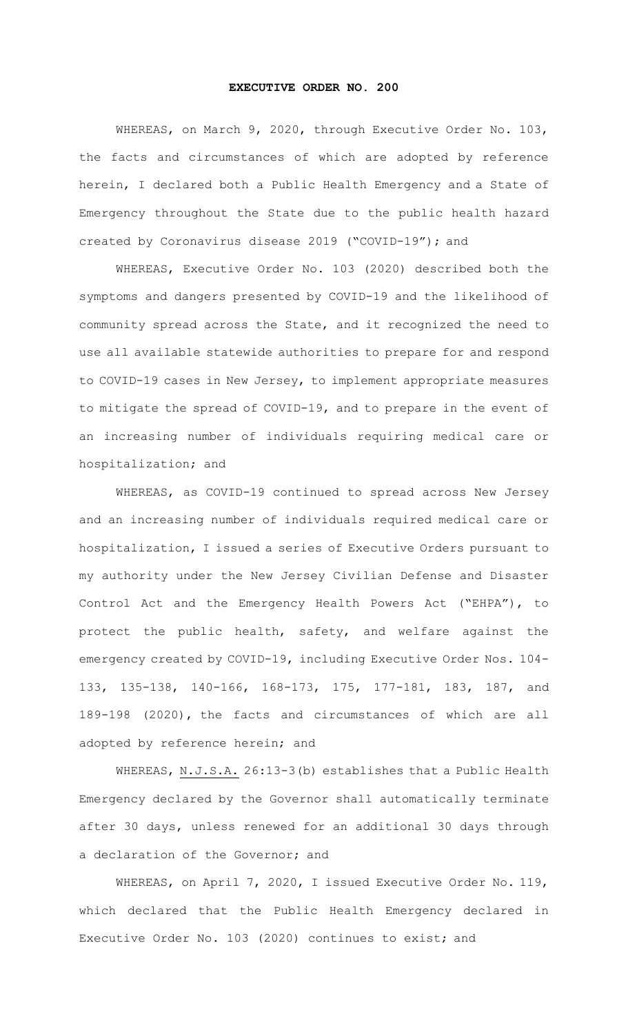## **EXECUTIVE ORDER NO. 200**

WHEREAS, on March 9, 2020, through Executive Order No. 103, the facts and circumstances of which are adopted by reference herein, I declared both a Public Health Emergency and a State of Emergency throughout the State due to the public health hazard created by Coronavirus disease 2019 ("COVID-19"); and

WHEREAS, Executive Order No. 103 (2020) described both the symptoms and dangers presented by COVID-19 and the likelihood of community spread across the State, and it recognized the need to use all available statewide authorities to prepare for and respond to COVID-19 cases in New Jersey, to implement appropriate measures to mitigate the spread of COVID-19, and to prepare in the event of an increasing number of individuals requiring medical care or hospitalization; and

WHEREAS, as COVID-19 continued to spread across New Jersey and an increasing number of individuals required medical care or hospitalization, I issued a series of Executive Orders pursuant to my authority under the New Jersey Civilian Defense and Disaster Control Act and the Emergency Health Powers Act ("EHPA"), to protect the public health, safety, and welfare against the emergency created by COVID-19, including Executive Order Nos. 104- 133, 135-138, 140-166, 168-173, 175, 177-181, 183, 187, and 189-198 (2020), the facts and circumstances of which are all adopted by reference herein; and

WHEREAS, N.J.S.A. 26:13-3(b) establishes that a Public Health Emergency declared by the Governor shall automatically terminate after 30 days, unless renewed for an additional 30 days through a declaration of the Governor; and

WHEREAS, on April 7, 2020, I issued Executive Order No. 119, which declared that the Public Health Emergency declared in Executive Order No. 103 (2020) continues to exist; and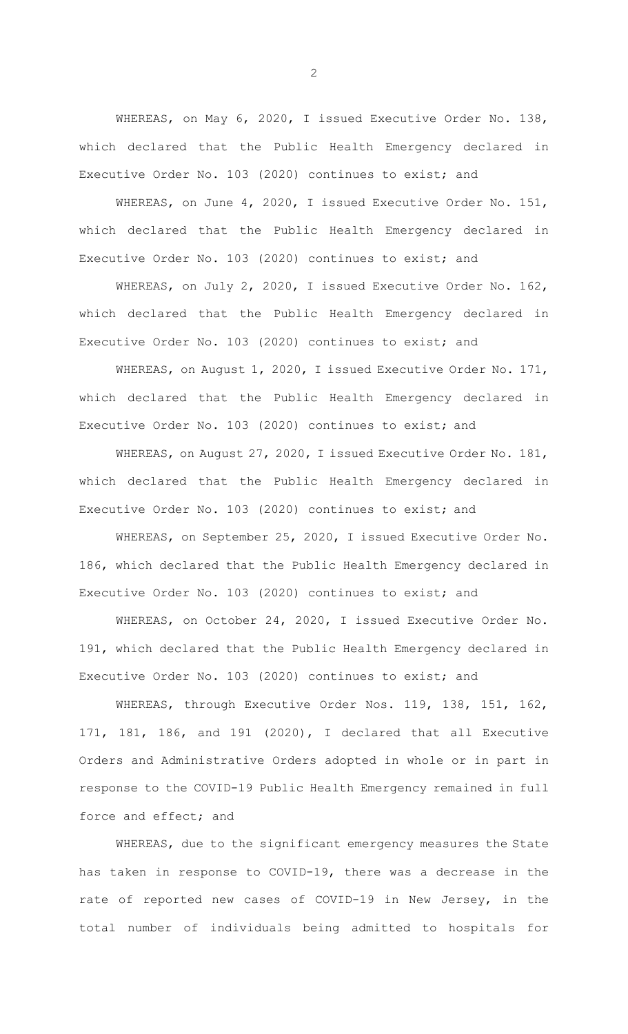WHEREAS, on May 6, 2020, I issued Executive Order No. 138, which declared that the Public Health Emergency declared in Executive Order No. 103 (2020) continues to exist; and

WHEREAS, on June 4, 2020, I issued Executive Order No. 151, which declared that the Public Health Emergency declared in Executive Order No. 103 (2020) continues to exist; and

WHEREAS, on July 2, 2020, I issued Executive Order No. 162, which declared that the Public Health Emergency declared in Executive Order No. 103 (2020) continues to exist; and

WHEREAS, on August 1, 2020, I issued Executive Order No. 171, which declared that the Public Health Emergency declared in Executive Order No. 103 (2020) continues to exist; and

WHEREAS, on August 27, 2020, I issued Executive Order No. 181, which declared that the Public Health Emergency declared in Executive Order No. 103 (2020) continues to exist; and

WHEREAS, on September 25, 2020, I issued Executive Order No. 186, which declared that the Public Health Emergency declared in Executive Order No. 103 (2020) continues to exist; and

WHEREAS, on October 24, 2020, I issued Executive Order No. 191, which declared that the Public Health Emergency declared in Executive Order No. 103 (2020) continues to exist; and

WHEREAS, through Executive Order Nos. 119, 138, 151, 162, 171, 181, 186, and 191 (2020), I declared that all Executive Orders and Administrative Orders adopted in whole or in part in response to the COVID-19 Public Health Emergency remained in full force and effect; and

WHEREAS, due to the significant emergency measures the State has taken in response to COVID-19, there was a decrease in the rate of reported new cases of COVID-19 in New Jersey, in the total number of individuals being admitted to hospitals for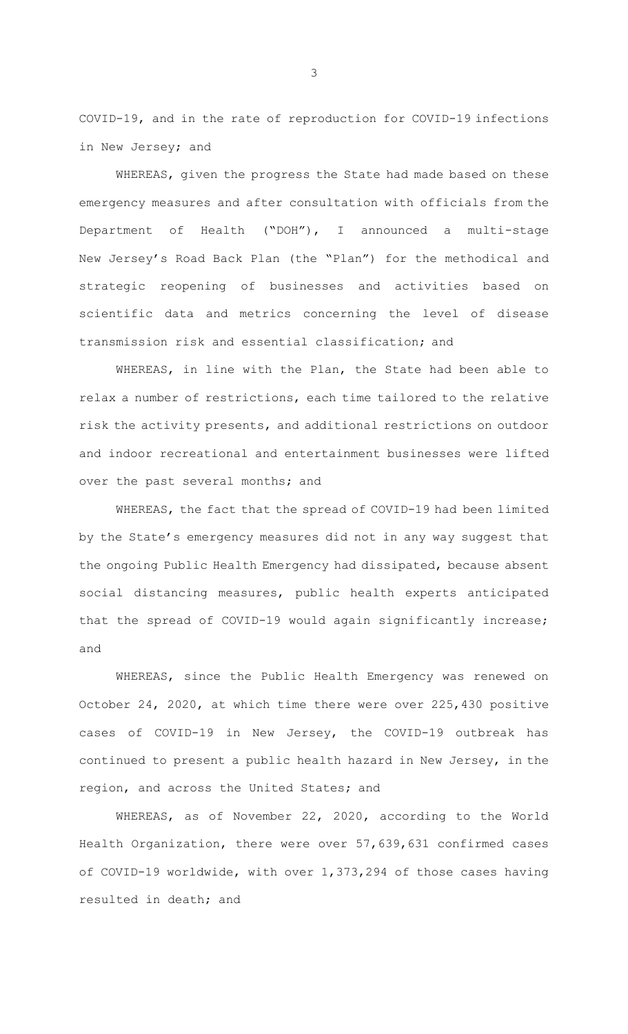COVID-19, and in the rate of reproduction for COVID-19 infections in New Jersey; and

WHEREAS, given the progress the State had made based on these emergency measures and after consultation with officials from the Department of Health ("DOH"), I announced a multi-stage New Jersey's Road Back Plan (the "Plan") for the methodical and strategic reopening of businesses and activities based on scientific data and metrics concerning the level of disease transmission risk and essential classification; and

WHEREAS, in line with the Plan, the State had been able to relax a number of restrictions, each time tailored to the relative risk the activity presents, and additional restrictions on outdoor and indoor recreational and entertainment businesses were lifted over the past several months; and

WHEREAS, the fact that the spread of COVID-19 had been limited by the State's emergency measures did not in any way suggest that the ongoing Public Health Emergency had dissipated, because absent social distancing measures, public health experts anticipated that the spread of COVID-19 would again significantly increase; and

WHEREAS, since the Public Health Emergency was renewed on October 24, 2020, at which time there were over 225,430 positive cases of COVID-19 in New Jersey, the COVID-19 outbreak has continued to present a public health hazard in New Jersey, in the region, and across the United States; and

WHEREAS, as of November 22, 2020, according to the World Health Organization, there were over 57,639,631 confirmed cases of COVID-19 worldwide, with over 1,373,294 of those cases having resulted in death; and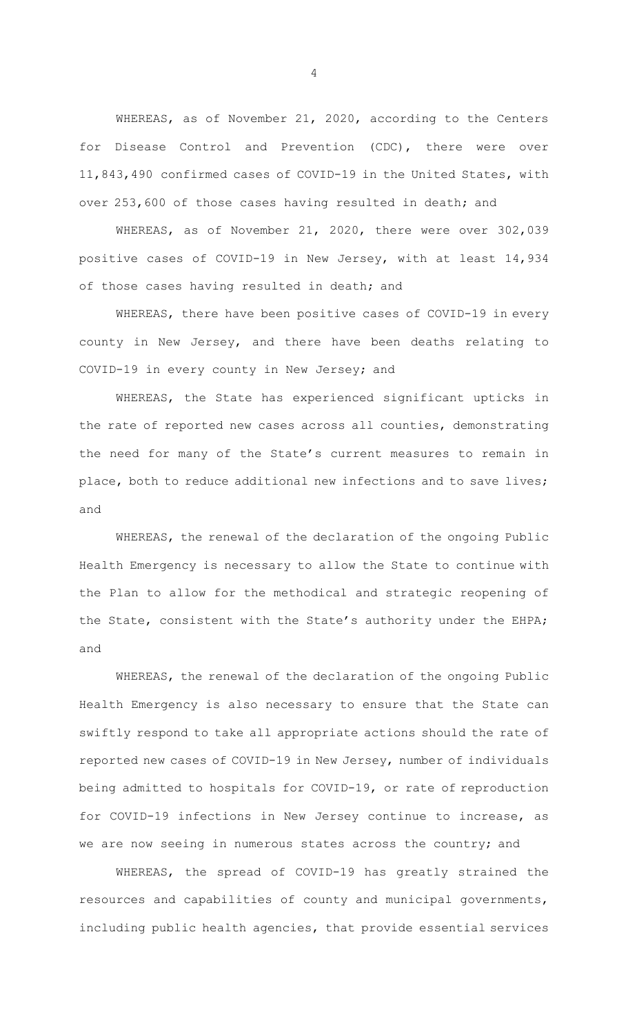WHEREAS, as of November 21, 2020, according to the Centers for Disease Control and Prevention (CDC), there were over 11,843,490 confirmed cases of COVID-19 in the United States, with over 253,600 of those cases having resulted in death; and

WHEREAS, as of November 21, 2020, there were over 302,039 positive cases of COVID-19 in New Jersey, with at least 14,934 of those cases having resulted in death; and

WHEREAS, there have been positive cases of COVID-19 in every county in New Jersey, and there have been deaths relating to COVID-19 in every county in New Jersey; and

WHEREAS, the State has experienced significant upticks in the rate of reported new cases across all counties, demonstrating the need for many of the State's current measures to remain in place, both to reduce additional new infections and to save lives; and

WHEREAS, the renewal of the declaration of the ongoing Public Health Emergency is necessary to allow the State to continue with the Plan to allow for the methodical and strategic reopening of the State, consistent with the State's authority under the EHPA; and

WHEREAS, the renewal of the declaration of the ongoing Public Health Emergency is also necessary to ensure that the State can swiftly respond to take all appropriate actions should the rate of reported new cases of COVID-19 in New Jersey, number of individuals being admitted to hospitals for COVID-19, or rate of reproduction for COVID-19 infections in New Jersey continue to increase, as we are now seeing in numerous states across the country; and

WHEREAS, the spread of COVID-19 has greatly strained the resources and capabilities of county and municipal governments, including public health agencies, that provide essential services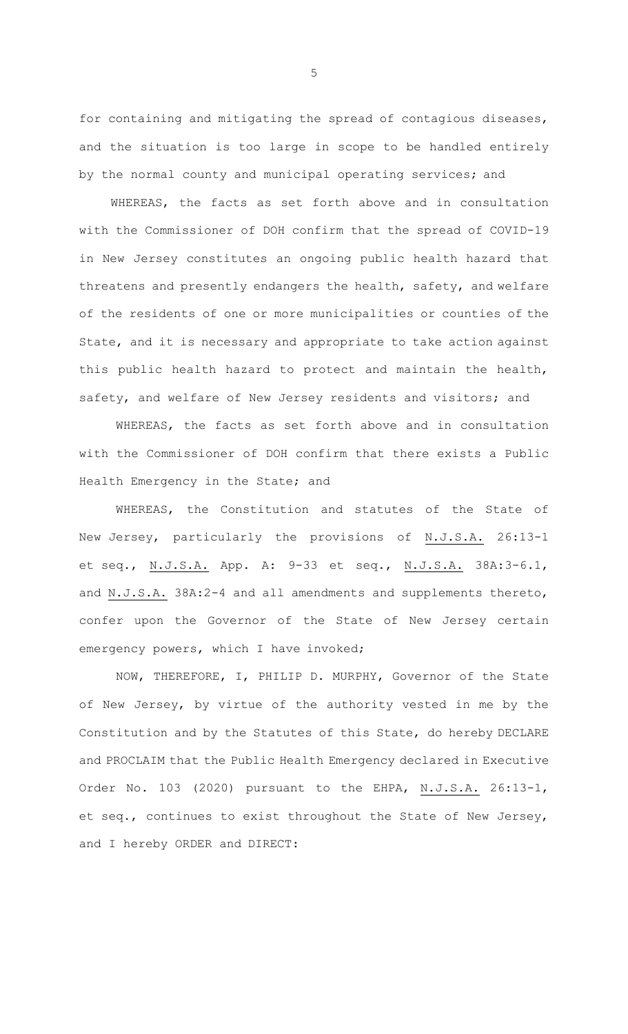for containing and mitigating the spread of contagious diseases, and the situation is too large in scope to be handled entirely by the normal county and municipal operating services; and

WHEREAS, the facts as set forth above and in consultation with the Commissioner of DOH confirm that the spread of COVID-19 in New Jersey constitutes an ongoing public health hazard that threatens and presently endangers the health, safety, and welfare of the residents of one or more municipalities or counties of the State, and it is necessary and appropriate to take action against this public health hazard to protect and maintain the health, safety, and welfare of New Jersey residents and visitors; and

WHEREAS, the facts as set forth above and in consultation with the Commissioner of DOH confirm that there exists a Public Health Emergency in the State; and

WHEREAS, the Constitution and statutes of the State of New Jersey, particularly the provisions of N.J.S.A. 26:13-1 et seq., N.J.S.A. App. A: 9-33 et seq., N.J.S.A. 38A:3-6.1, and N.J.S.A. 38A:2-4 and all amendments and supplements thereto, confer upon the Governor of the State of New Jersey certain emergency powers, which I have invoked;

NOW, THEREFORE, I, PHILIP D. MURPHY, Governor of the State of New Jersey, by virtue of the authority vested in me by the Constitution and by the Statutes of this State, do hereby DECLARE and PROCLAIM that the Public Health Emergency declared in Executive Order No. 103 (2020) pursuant to the EHPA, N.J.S.A. 26:13-1, et seq., continues to exist throughout the State of New Jersey, and I hereby ORDER and DIRECT: